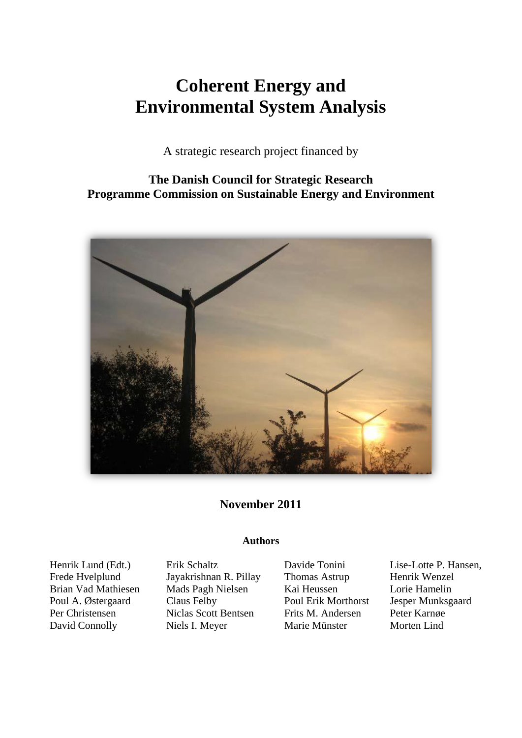## **Coherent Energy and Environmental System Analysis**

A strategic research project financed by

**The Danish Council for Strategic Research Programme Commission on Sustainable Energy and Environment**



**November 2011**

## **Authors**

Henrik Lund (Edt.) Frede Hvelplund Brian Vad Mathiesen Poul A. Østergaard Per Christensen David Connolly

Erik Schaltz Jayakrishnan R. Pillay Mads Pagh Nielsen Claus Felby Niclas Scott Bentsen Niels I. Meyer

Davide Tonini Thomas Astrup Kai Heussen Poul Erik Morthorst Frits M. Andersen Marie Münster

Lise-Lotte P. Hansen, Henrik Wenzel Lorie Hamelin Jesper Munksgaard Peter Karnøe Morten Lind